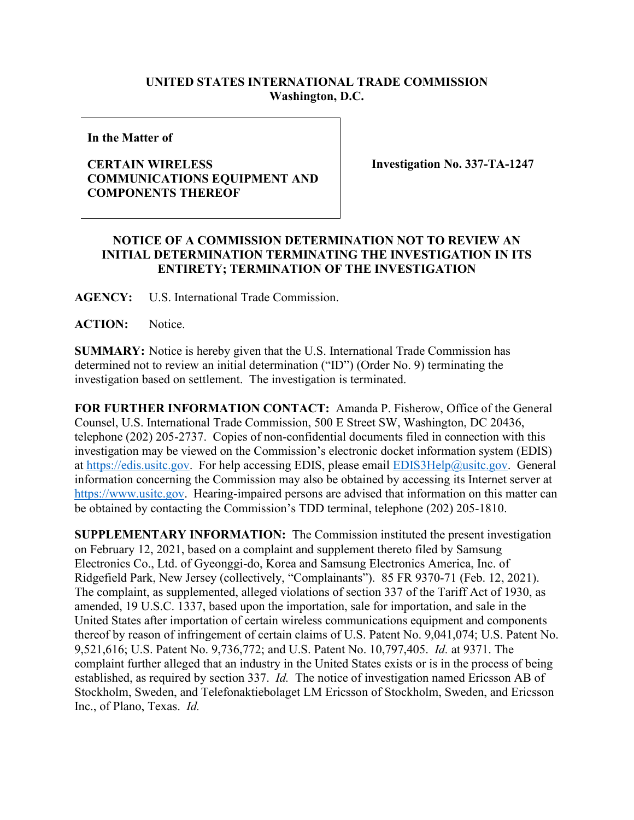## **UNITED STATES INTERNATIONAL TRADE COMMISSION Washington, D.C.**

**In the Matter of**

## **CERTAIN WIRELESS COMMUNICATIONS EQUIPMENT AND COMPONENTS THEREOF**

**Investigation No. 337-TA-1247**

## **NOTICE OF A COMMISSION DETERMINATION NOT TO REVIEW AN INITIAL DETERMINATION TERMINATING THE INVESTIGATION IN ITS ENTIRETY; TERMINATION OF THE INVESTIGATION**

**AGENCY:** U.S. International Trade Commission.

**ACTION:** Notice.

**SUMMARY:** Notice is hereby given that the U.S. International Trade Commission has determined not to review an initial determination ("ID") (Order No. 9) terminating the investigation based on settlement. The investigation is terminated.

**FOR FURTHER INFORMATION CONTACT:** Amanda P. Fisherow, Office of the General Counsel, U.S. International Trade Commission, 500 E Street SW, Washington, DC 20436, telephone (202) 205-2737. Copies of non-confidential documents filed in connection with this investigation may be viewed on the Commission's electronic docket information system (EDIS) at [https://edis.usitc.gov.](https://edis.usitc.gov/) For help accessing EDIS, please email [EDIS3Help@usitc.gov.](mailto:EDIS3Help@usitc.gov) General information concerning the Commission may also be obtained by accessing its Internet server at [https://www.usitc.gov.](https://www.usitc.gov/) Hearing-impaired persons are advised that information on this matter can be obtained by contacting the Commission's TDD terminal, telephone (202) 205-1810.

**SUPPLEMENTARY INFORMATION:** The Commission instituted the present investigation on February 12, 2021, based on a complaint and supplement thereto filed by Samsung Electronics Co., Ltd. of Gyeonggi-do, Korea and Samsung Electronics America, Inc. of Ridgefield Park, New Jersey (collectively, "Complainants"). 85 FR 9370-71 (Feb. 12, 2021). The complaint, as supplemented, alleged violations of section 337 of the Tariff Act of 1930, as amended, 19 U.S.C. 1337, based upon the importation, sale for importation, and sale in the United States after importation of certain wireless communications equipment and components thereof by reason of infringement of certain claims of U.S. Patent No. 9,041,074; U.S. Patent No. 9,521,616; U.S. Patent No. 9,736,772; and U.S. Patent No. 10,797,405. *Id.* at 9371. The complaint further alleged that an industry in the United States exists or is in the process of being established, as required by section 337. *Id.* The notice of investigation named Ericsson AB of Stockholm, Sweden, and Telefonaktiebolaget LM Ericsson of Stockholm, Sweden, and Ericsson Inc., of Plano, Texas. *Id.*